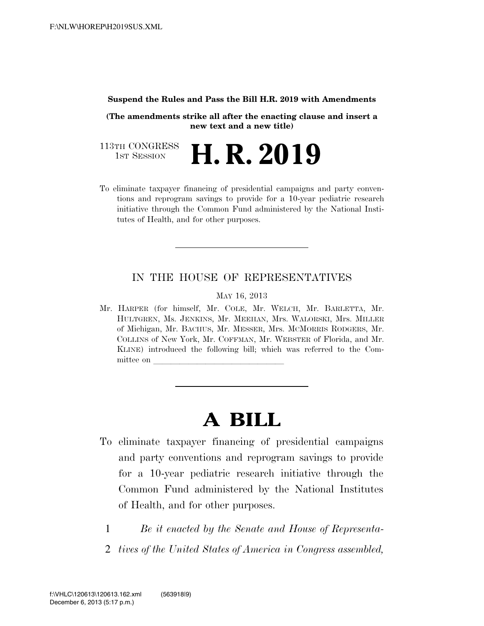#### **Suspend the Rules and Pass the Bill H.R. 2019 with Amendments**

**(The amendments strike all after the enacting clause and insert a new text and a new title)**

113TH CONGRESS<br>1st Session H. R. 2019

To eliminate taxpayer financing of presidential campaigns and party conventions and reprogram savings to provide for a 10-year pediatric research initiative through the Common Fund administered by the National Institutes of Health, and for other purposes.

### IN THE HOUSE OF REPRESENTATIVES

MAY 16, 2013

Mr. HARPER (for himself, Mr. COLE, Mr. WELCH, Mr. BARLETTA, Mr. HULTGREN, Ms. JENKINS, Mr. MEEHAN, Mrs. WALORSKI, Mrs. MILLER of Michigan, Mr. BACHUS, Mr. MESSER, Mrs. MCMORRIS RODGERS, Mr. COLLINS of New York, Mr. COFFMAN, Mr. WEBSTER of Florida, and Mr. KLINE) introduced the following bill; which was referred to the Committee on

# **A BILL**

- To eliminate taxpayer financing of presidential campaigns and party conventions and reprogram savings to provide for a 10-year pediatric research initiative through the Common Fund administered by the National Institutes of Health, and for other purposes.
	- 1 *Be it enacted by the Senate and House of Representa-*
	- 2 *tives of the United States of America in Congress assembled,*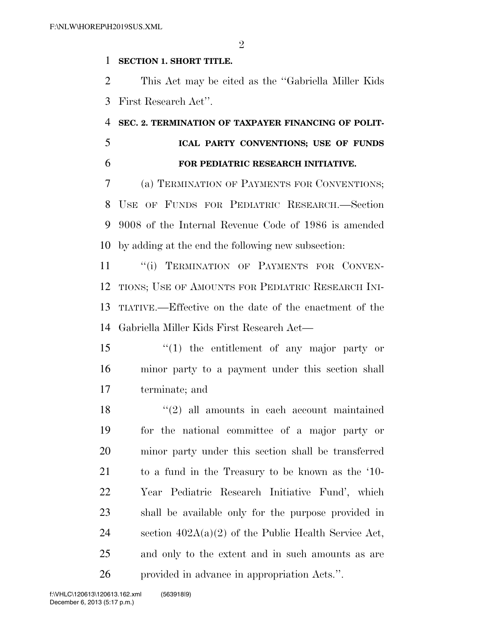$\mathfrak{D}$ 

### **SECTION 1. SHORT TITLE.**

 This Act may be cited as the ''Gabriella Miller Kids First Research Act''.

## **SEC. 2. TERMINATION OF TAXPAYER FINANCING OF POLIT- ICAL PARTY CONVENTIONS; USE OF FUNDS FOR PEDIATRIC RESEARCH INITIATIVE.**

 (a) TERMINATION OF PAYMENTS FOR CONVENTIONS; USE OF FUNDS FOR PEDIATRIC RESEARCH.—Section 9008 of the Internal Revenue Code of 1986 is amended by adding at the end the following new subsection:

11 "(i) TERMINATION OF PAYMENTS FOR CONVEN- TIONS; USE OF AMOUNTS FOR PEDIATRIC RESEARCH INI- TIATIVE.—Effective on the date of the enactment of the Gabriella Miller Kids First Research Act—

 ''(1) the entitlement of any major party or minor party to a payment under this section shall terminate; and

 ''(2) all amounts in each account maintained for the national committee of a major party or minor party under this section shall be transferred to a fund in the Treasury to be known as the '10- Year Pediatric Research Initiative Fund', which shall be available only for the purpose provided in 24 section  $402A(a)(2)$  of the Public Health Service Act, and only to the extent and in such amounts as are provided in advance in appropriation Acts.''.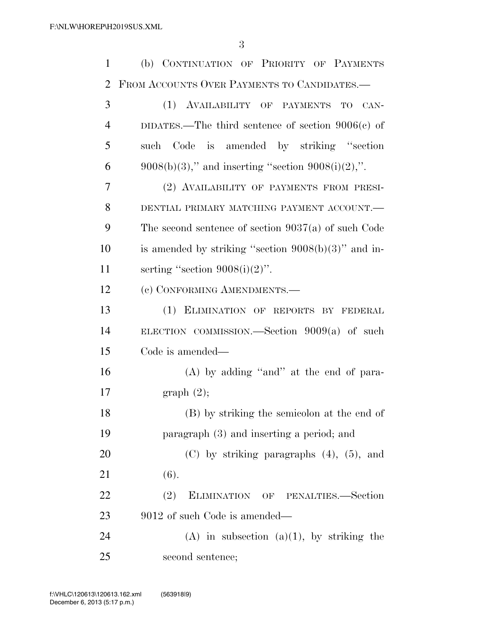(b) CONTINUATION OF PRIORITY OF PAYMENTS FROM ACCOUNTS OVER PAYMENTS TO CANDIDATES.—

| 3              | (1) AVAILABILITY OF PAYMENTS TO CAN-                    |
|----------------|---------------------------------------------------------|
| $\overline{4}$ | DIDATES.—The third sentence of section $9006(c)$ of     |
| 5              | Code is amended by striking "section<br>such            |
| 6              | $9008(b)(3)$ ," and inserting "section $9008(i)(2)$ ,". |
| $\overline{7}$ | (2) AVAILABILITY OF PAYMENTS FROM PRESI-                |
| 8              | DENTIAL PRIMARY MATCHING PAYMENT ACCOUNT.               |
| 9              | The second sentence of section $9037(a)$ of such Code   |
| 10             | is amended by striking "section $9008(b)(3)$ " and in-  |
| 11             | serting "section $9008(i)(2)$ ".                        |
| 12             | (c) CONFORMING AMENDMENTS.-                             |
| 13             | (1) ELIMINATION OF REPORTS BY FEDERAL                   |
| 14             | ELECTION COMMISSION. Section $9009(a)$ of such          |
| 15             | Code is amended—                                        |
| 16             | $(A)$ by adding "and" at the end of para-               |
| 17             | graph(2);                                               |
| 18             | (B) by striking the semicolon at the end of             |
| 19             | paragraph (3) and inserting a period; and               |
| 20             | $(C)$ by striking paragraphs $(4)$ , $(5)$ , and        |
| 21             | (6).                                                    |
| 22             | (2)<br>ELIMINATION OF PENALTIES.-Section                |
| 23             | 9012 of such Code is amended—                           |
| 24             | $(A)$ in subsection $(a)(1)$ , by striking the          |
| 25             | second sentence;                                        |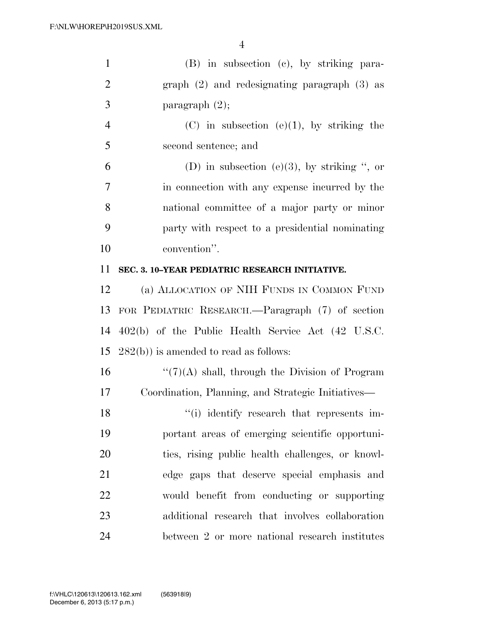| $\mathbf{1}$   | (B) in subsection (c), by striking para-           |
|----------------|----------------------------------------------------|
| $\overline{2}$ | graph $(2)$ and redesignating paragraph $(3)$ as   |
| 3              | paragraph $(2)$ ;                                  |
| $\overline{4}$ | $(C)$ in subsection $(e)(1)$ , by striking the     |
| 5              | second sentence; and                               |
| 6              | (D) in subsection (e)(3), by striking ", or        |
| 7              | in connection with any expense incurred by the     |
| 8              | national committee of a major party or minor       |
| 9              | party with respect to a presidential nominating    |
| 10             | convention".                                       |
| 11             | SEC. 3. 10-YEAR PEDIATRIC RESEARCH INITIATIVE.     |
| 12             | (a) ALLOCATION OF NIH FUNDS IN COMMON FUND         |
| 13             | FOR PEDIATRIC RESEARCH.—Paragraph (7) of section   |
| 14             | 402(b) of the Public Health Service Act (42 U.S.C. |
| 15             | $282(b)$ ) is amended to read as follows:          |
| 16             | $\lq(7)(A)$ shall, through the Division of Program |
| 17             | Coordination, Planning, and Strategic Initiatives— |
| 18             | "(i) identify research that represents im-         |
| 19             | portant areas of emerging scientific opportuni-    |
| 20             | ties, rising public health challenges, or knowl-   |
| 21             | edge gaps that deserve special emphasis and        |
| 22             | would benefit from conducting or supporting        |
| 23             | additional research that involves collaboration    |
| 24             | between 2 or more national research institutes     |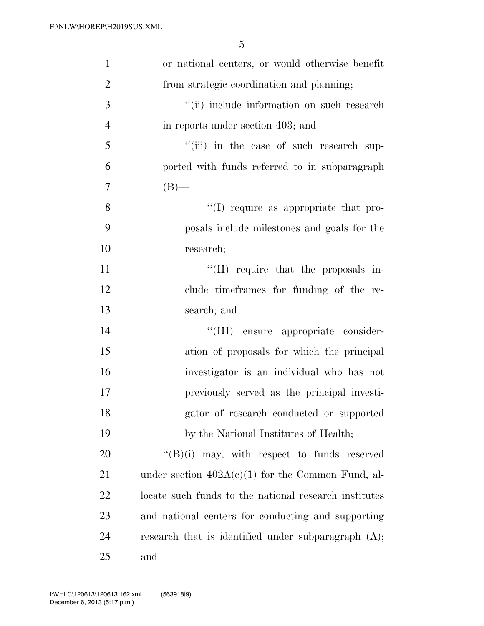| $\mathbf{1}$   | or national centers, or would otherwise benefit        |
|----------------|--------------------------------------------------------|
| $\overline{2}$ | from strategic coordination and planning;              |
| 3              | "(ii) include information on such research             |
| $\overline{4}$ | in reports under section 403; and                      |
| 5              | "(iii) in the case of such research sup-               |
| 6              | ported with funds referred to in subparagraph          |
| 7              | $(B)$ —                                                |
| 8              | "(I) require as appropriate that pro-                  |
| 9              | posals include milestones and goals for the            |
| 10             | research;                                              |
| 11             | $\lq\lq$ (II) require that the proposals in-           |
| 12             | clude timeframes for funding of the re-                |
| 13             | search; and                                            |
| 14             | "(III) ensure appropriate consider-                    |
| 15             | ation of proposals for which the principal             |
| 16             | investigator is an individual who has not              |
| 17             | previously served as the principal investi-            |
| 18             | gator of research conducted or supported               |
| 19             | by the National Institutes of Health;                  |
| 20             | $\lq\lq(B)(i)$ may, with respect to funds reserved     |
| 21             | under section $402A(c)(1)$ for the Common Fund, al-    |
| <u>22</u>      | locate such funds to the national research institutes  |
| 23             | and national centers for conducting and supporting     |
| 24             | research that is identified under subparagraph $(A)$ ; |
| 25             | and                                                    |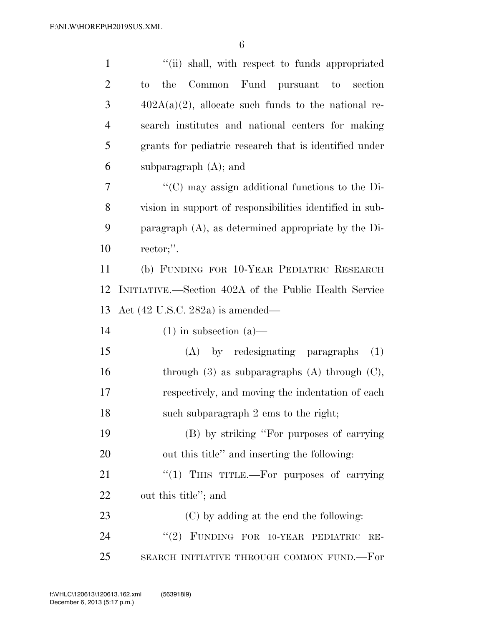| $\mathbf{1}$   | "(ii) shall, with respect to funds appropriated          |
|----------------|----------------------------------------------------------|
| $\overline{2}$ | Common Fund pursuant to section<br>the<br>$\rm{to}$      |
| 3              | $402A(a)(2)$ , allocate such funds to the national re-   |
| $\overline{4}$ | search institutes and national centers for making        |
| 5              | grants for pediatric research that is identified under   |
| 6              | subparagraph $(A)$ ; and                                 |
| 7              | "(C) may assign additional functions to the Di-          |
| 8              | vision in support of responsibilities identified in sub- |
| 9              | paragraph $(A)$ , as determined appropriate by the Di-   |
| 10             | rector;".                                                |
| 11             | (b) FUNDING FOR 10-YEAR PEDIATRIC RESEARCH               |
| 12             | INITIATIVE.—Section 402A of the Public Health Service    |
| 13             | Act $(42 \text{ U.S.C. } 282a)$ is amended—              |
| 14             | $(1)$ in subsection $(a)$ —                              |
| 15             | (A) by redesignating paragraphs<br>(1)                   |
| 16             | through $(3)$ as subparagraphs $(A)$ through $(C)$ ,     |
| 17             | respectively, and moving the indentation of each         |
| 18             | such subparagraph 2 ems to the right;                    |
| 19             | (B) by striking "For purposes of carrying                |
| 20             | out this title" and inserting the following:             |
| 21             | "(1) THIS TITLE.—For purposes of carrying                |
| 22             | out this title"; and                                     |
| 23             | (C) by adding at the end the following:                  |
| 24             | "(2) FUNDING FOR 10-YEAR PEDIATRIC<br>$RE-$              |
| 25             | SEARCH INITIATIVE THROUGH COMMON FUND.-For               |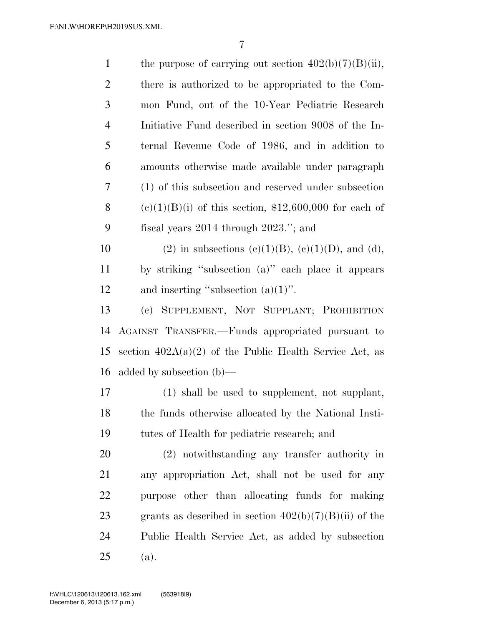| $\mathbf{1}$   | the purpose of carrying out section $402(b)(7)(B)(ii)$ ,  |
|----------------|-----------------------------------------------------------|
| $\overline{2}$ | there is authorized to be appropriated to the Com-        |
| 3              | mon Fund, out of the 10-Year Pediatric Research           |
| $\overline{4}$ | Initiative Fund described in section 9008 of the In-      |
| 5              | ternal Revenue Code of 1986, and in addition to           |
| 6              | amounts otherwise made available under paragraph          |
| 7              | (1) of this subsection and reserved under subsection      |
| 8              | $(e)(1)(B)(i)$ of this section, \$12,600,000 for each of  |
| 9              | fiscal years $2014$ through $2023$ ."; and                |
| 10             | (2) in subsections (c)(1)(B), (e)(1)(D), and (d),         |
| 11             | by striking "subsection (a)" each place it appears        |
| 12             | and inserting "subsection $(a)(1)$ ".                     |
| 13             | (c) SUPPLEMENT, NOT SUPPLANT; PROHIBITION                 |
| 14             | AGAINST TRANSFER.—Funds appropriated pursuant to          |
| 15             | section $402A(a)(2)$ of the Public Health Service Act, as |
| 16             | added by subsection $(b)$ —                               |
| 17             | (1) shall be used to supplement, not supplant,            |
| 18             | the funds otherwise allocated by the National Insti-      |
| 19             | tutes of Health for pediatric research; and               |
| 20             | (2) notwithstanding any transfer authority in             |
| 21             | any appropriation Act, shall not be used for any          |
| 22             | purpose other than allocating funds for making            |
| 23             | grants as described in section $402(b)(7)(B)(ii)$ of the  |
| 24             | Public Health Service Act, as added by subsection         |
| 25             | (a).                                                      |